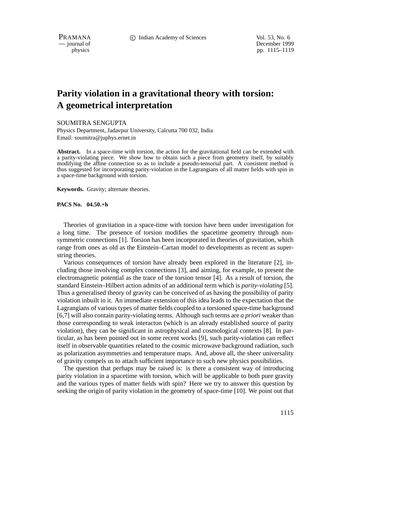PRAMANA **C** Indian Academy of Sciences Vol. 53, No. 6

— journal of December 1999 physics pp. 1115–1119

## **Parity violation in a gravitational theory with torsion: A geometrical interpretation**

SOUMITRA SENGUPTA

Physics Department, Jadavpur University, Calcutta 700 032, India Email: soumitra@juphys.ernet.in

**Abstract.** In a space-time with torsion, the action for the gravitational field can be extended with a parity-violating piece. We show how to obtain such a piece from geometry itself, by suitably modifying the affine connection so as to include a pseudo-tensorial part. A consistent method is thus suggested for incorporating parity-violation in the Lagrangians of all matter fields with spin in a space-time background with torsion.

**Keywords.** Gravity; alternate theories.

**PACS No. 04.50.+h**

Theories of gravitation in a space-time with torsion have been under investigation for a long time. The presence of torsion modifies the spacetime geometry through nonsymmetric connections [1]. Torsion has been incorporated in theories of gravitation, which range from ones as old as the Einstein–Cartan model to developments as recent as superstring theories.

Various consequences of torsion have already been explored in the literature [2], including those involving complex connections [3], and aiming, for example, to present the electromagnetic potential as the trace of the torsion tensor [4]. As a result of torsion, the standard Einstein–Hilbert action admits of an additional term which is *parity-violating* [5]. Thus a generalised theory of gravity can be conceived of as having the possibility of parity violation inbuilt in it. An immediate extension of this idea leads to the expectation that the Lagrangians of varioustypes of matter fields coupled to a torsioned space-time background [6,7] will also contain parity-violating terms. Although such terms are *a priori* weaker than those corresponding to weak interacton (which is an already established source of parity violation), they can be significant in astrophysical and cosmological contexts [8]. In particular, as has been pointed out in some recent works [9], such parity-violation can reflect itself in observable quantities related to the cosmic microwave background radiation, such as polarization asymmetries and temperature maps. And, above all, the sheer universality of gravity compels us to attach sufficient importance to such new physics possibilities.

The question that perhaps may be raised is: is there a consistent way of introducing parity violation in a spacetime with torsion, which will be applicable to both pure gravity and the various types of matter fields with spin? Here we try to answer this question by seeking the origin of parity violation in the geometry of space-time [10]. We point out that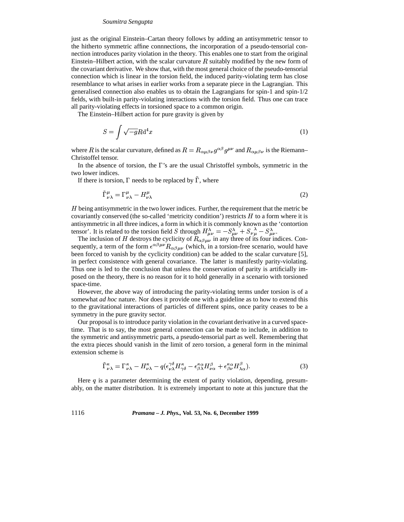## *Soumitra Sengupta*

just as the original Einstein–Cartan theory follows by adding an antisymmetric tensor to the hitherto symmetric affine connnections, the incorporation of a pseudo-tensorial connection introduces parity violation in the theory. This enables one to start from the original Einstein–Hilbert action, with the scalar curvature  $R$  suitably modified by the new form of the covariant derivative. We show that, with the most general choice of the pseudo-tensorial connection which is linear in the torsion field, the induced parity-violating term has close resemblance to what arises in earlier works from a separate piece in the Lagrangian. This generalised connection also enables us to obtain the Lagrangians for spin-1 and spin-1/2 fields, with built-in parity-violating interactions with the torsion field. Thus one can trace all parity-violating effects in torsioned space to a common origin.

The Einstein–Hilbert action for pure gravity is given by

$$
S = \int \sqrt{-g} R \mathrm{d}^4 x \tag{1}
$$

where R is the scalar curvature, defined as  $R = R_{\alpha\mu\beta\nu} g^{\alpha\beta} g^{\mu\nu}$  and  $R_{\alpha\mu\beta\nu}$  is the Riemann– Christoffel tensor.

In the absence of torsion, the  $\Gamma$ 's are the usual Christoffel symbols, symmetric in the two lower indices.

If there is torsion,  $\Gamma$  needs to be replaced by  $\Gamma$ , where

$$
\tilde{\Gamma}^{\mu}_{\nu\lambda} = \Gamma^{\mu}_{\nu\lambda} - H^{\mu}_{\nu\lambda} \tag{2}
$$

H being antisymmetric in the two lower indices. Further, the requirement that the metric be covariantly conserved (the so-called 'metricity condition') restricts  $H$  to a form where it is antisymmetric in all three indices, a form in which it is commonly known as the 'contortion tensor'. It is related to the torsion field S through  $H^{\lambda}_{\mu\nu} = -S^{\lambda}_{\mu\nu} + S^{\lambda}_{\nu\mu} - S^{\lambda}_{\mu\nu}$ .

The inclusion of H destroys the cyclicity of  $R_{\alpha\beta\mu\nu}$  in any three of its four indices. Consequently, a term of the form  $\epsilon^{\alpha\beta\mu\nu}R_{\alpha\beta\mu\nu}$  (which, in a torsion-free scenario, would have been forced to vanish by the cyclicity condition) can be added to the scalar curvature [5], in perfect consistence with general covariance. The latter is manifestly parity-violating. Thus one is led to the conclusion that unless the conservation of parity is artificially imposed on the theory, there is no reason for it to hold generally in a scenario with torsioned space-time.

However, the above way of introducing the parity-violating terms under torsion is of a somewhat *ad hoc* nature. Nor does it provide one with a guideline as to how to extend this to the gravitational interactions of particles of different spins, once parity ceases to be a symmetry in the pure gravity sector.

Our proposal is to introduce parity violation in the covariant derivative in a curved spacetime. That is to say, the most general connection can be made to include, in addition to the symmetric and antisymmetric parts, a pseudo-tensorial part as well. Remembering that the extra pieces should vanish in the limit of zero torsion, a general form in the minimal extension scheme is

$$
\tilde{\Gamma}^{\kappa}_{\nu\lambda} = \Gamma^{\kappa}_{\nu\lambda} - H^{\kappa}_{\nu\lambda} - q(\epsilon^{\gamma\delta}_{\nu\lambda} H^{\kappa}_{\gamma\delta} - \epsilon^{\kappa\alpha}_{\beta\lambda} H^{\beta}_{\nu\alpha} + \epsilon^{\kappa\alpha}_{\beta\nu} H^{\beta}_{\lambda\alpha}).
$$
\n(3)

Here  $q$  is a parameter determining the extent of parity violation, depending, presumably, on the matter distribution. It is extremely important to note at this juncture that the

1116 *Pramana – J. Phys.,* **Vol. 53, No. 6, December 1999**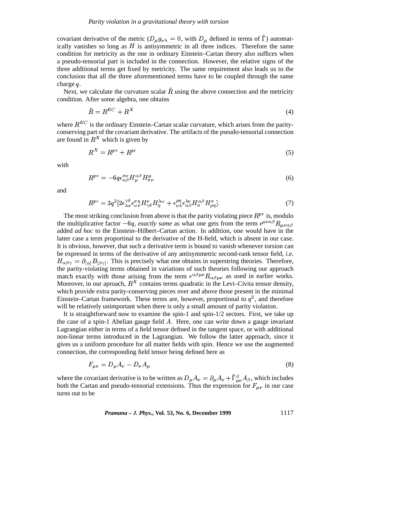covariant derivative of the metric  $(D_\mu g_{\nu\lambda} = 0$ , with  $D_\mu$  defined in terms of  $\Gamma$ ) automatically vanishes so long as  $H$  is antisymmetric in all three indices. Therefore the same condition for metricity as the one in ordinary Einstein–Cartan theory also suffices when a pseudo-tensorial part is included in the connection. However, the relative signs of the three additional terms get fixed by metricity. The same requirement also leads us to the conclusion that all the three aforementioned terms have to be coupled through the same charge  $q$ .

Next, we calculate the curvature scalar  $R$  using the above connection and the metricity condition. After some algebra, one obtains

$$
\tilde{R} = R^{EC} + R^X \tag{4}
$$

where  $R^{EC}$  is the ordinary Einstein–Cartan scalar curvature, which arises from the parityconserving part of the covariant derivative. The artifacts of the pseudo-tensorial connection are found in  $R^X$  which is given by

$$
R^X = R^{pv} + R^{pc} \tag{5}
$$

with

$$
R^{pv} = -6q\epsilon_{\alpha\beta}^{\sigma\nu}H_{\mu}^{\alpha\beta}H_{\sigma\nu}^{\mu} \tag{6}
$$

and

$$
R^{pc} = 3q^2 \left[ 2\epsilon_{\lambda\sigma}^{\gamma\delta} \epsilon_{\omega\nu}^{\sigma\eta} H_{\gamma\delta}^{\nu} H_{\eta}^{\lambda\omega} + \epsilon_{\nu\lambda}^{\rho\eta} \epsilon_{\alpha\beta}^{\lambda\nu} H_{\sigma}^{\alpha\beta} H_{\rho\eta}^{\sigma} \right].
$$
 (7)

The most striking conclusion from above is that the parity violating piece  $R^{pv}$  is, modulo the multiplicative factor  $-6q$ , *exactly same* as what one gets from the term  $\epsilon^{\mu\nu\alpha\beta}R_{\mu\nu\alpha\beta}$ added *ad hoc* to the Einstein–Hilbert–Cartan action. In addition, one would have in the latter case a term proportinal to the derivative of the H-field, which is absent in our case. It is obvious, however, that such a derivative term is bound to vanish whenever torsion can be expressed in terms of the derivative of any antisymmetric second-rank tensor field, *i.e.*  $H_{\alpha\beta\gamma} = \partial_{[\alpha]}B_{[\beta\gamma]}$ . This is precisely what one obtains in superstring theories. Therefore, the parity-violating terms obtained in variations of such theories following our approach match exactly with those arising from the term  $\epsilon^{\alpha\beta\mu\nu}R_{\alpha\beta\mu\nu}$  as used in earlier works. Moreover, in our aproach,  $R^X$  contains terms quadratic in the Levi–Civita tensor density, which provide extra parity-conserving pieces over and above those present in the minimal Einstein–Cartan framework. These terms are, however, proportional to  $q^2$ , and therefore will be relatively unimportant when there is only a small amount of parity violation.

It is straightforward now to examine the spin-1 and spin-1/2 sectors. First, we take up the case of a spin-1 Abelian gauge field  $\tilde{A}$ . Here, one can write down a gauge invariant Lagrangian either in terms of a field tensor defined in the tangent space, or with additional non-linear terms introduced in the Lagrangian. We follow the latter approach, since it gives us a uniform procedure for all matter fields with spin. Hence we use the augmented connection, the corresponding field tensor being defined here as

$$
F_{\mu\nu} = D_{\mu}A_{\nu} - D_{\nu}A_{\mu} \tag{8}
$$

where the covariant derivative is to be written as  $D_{\mu}A_{\nu} = \partial_{\mu}A_{\nu} + \Gamma^{\beta}_{\mu\nu}A_{\beta}$ , which includes both the Cartan and pseudo-tensorial extensions. Thus the expression for  $F_{\mu\nu}$  in our case turns out to be

*Pramana – J. Phys.,* **Vol. 53, No. 6, December 1999** 1117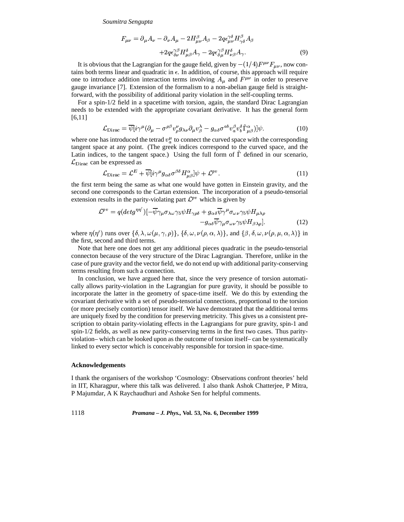*Soumitra Sengupta*

$$
F_{\mu\nu} = \partial_{\mu}A_{\nu} - \partial_{\nu}A_{\mu} - 2H^{\beta}_{\mu\nu}A_{\beta} - 2q\epsilon_{\mu\nu}^{\gamma\delta}H^{\beta}_{\gamma\delta}A_{\beta}
$$

$$
+ 2q\epsilon_{\delta\nu}^{\gamma\beta}H^{\delta}_{\mu\beta}A_{\gamma} - 2q\epsilon_{\delta\mu}^{\gamma\beta}H^{\delta}_{\nu\beta}A_{\gamma}.
$$

$$
\tag{9}
$$

It is obvious that the Lagrangian for the gauge field, given by  $-(1/4)F^{\mu\nu}F_{\mu\nu}$ , now contains both terms linear and quadratic in  $\epsilon$ . In addition, of course, this approach will require one to introduce addition interaction terms involving  $A_{\mu}$  and  $F^{\mu\nu}$  in order to preserve gauge invariance [7]. Extension of the formalism to a non-abelian gauge field is straightforward, with the possibility of additional parity violation in the self-coupling terms.

For a spin-1/2 field in a spacetime with torsion, again, the standard Dirac Lagrangian needs to be extended with the appropriate covariant derivative. It has the general form  $[6,11]$ 

$$
\mathcal{L}_{\text{Dirac}} = \overline{\psi}[i\gamma^{\mu}(\partial_{\mu} - \sigma^{\rho\beta}v_{\rho}^{\nu}g_{\lambda\nu}\partial_{\mu}v_{\beta}^{\lambda} - g_{\alpha\delta}\sigma^{ab}v_{a}^{\beta}v_{b}^{\delta}\tilde{\Gamma}_{\mu\beta}^{\alpha})]\psi. \tag{10}
$$

where one has introduced the tetrad  $v_n^{\mu}$  to connect the curved space with the corresponding tangent space at any point. (The greek indices correspond to the curved space, and the Latin indices, to the tangent space.) Using the full form of  $\Gamma$  defined in our scenario, can be expressed as

$$
\mathcal{L}_{\text{Dirac}} = \mathcal{L}^E + \overline{\psi}[i\gamma^\mu g_{\alpha\delta}\sigma^{\beta\delta}H_{\mu\beta}^{\alpha}]\psi + \mathcal{L}^{pv}.
$$
\n(11)

the first term being the same as what one would have gotten in Einstein gravity, and the second one corresponds to the Cartan extension. The incorporation of a pseudo-tensorial second one corresponds to the Cartan extension. The incorporation results in the parity-violating part  $\mathcal{L}^{pv}$  which is given by

$$
\mathcal{L}^{pv} = q(detg^{\eta\eta'})[-\overline{\psi}\gamma_{\mu}\sigma_{\lambda\omega}\gamma_{5}\psi H_{\gamma\rho\delta} + g_{\alpha\delta}\overline{\psi}\gamma^{\mu}\sigma_{\omega\nu}\gamma_{5}\psi H_{\mu\lambda\rho} -g_{\alpha\delta}\overline{\psi}\gamma_{\mu}\sigma_{\omega\nu}\gamma_{5}\psi H_{\beta\lambda\rho}].
$$
\n(12)

where  $\eta(\eta')$  runs over  $\{\delta, \lambda, \omega(\mu, \gamma, \rho)\}\$ ,  $\{\delta, \omega, \nu(\rho, \alpha, \lambda)\}\$ , and  $\{\beta, \delta, \omega, \nu(\rho, \mu, \alpha, \lambda)\}\$  in the first, second and third terms.

Note that here one does not get any additional pieces quadratic in the pseudo-tensorial connecton because of the very structure of the Dirac Lagrangian. Therefore, unlike in the case of pure gravity and the vector field, we do not end up with additional parity-conserving terms resulting from such a connection.

In conclusion, we have argued here that, since the very presence of torsion automatically allows parity-violation in the Lagrangian for pure gravity, it should be possible to incorporate the latter in the geometry of space-time itself. We do this by extending the covariant derivative with a set of pseudo-tensorial connections, proportional to the torsion (or more precisely contortion) tensor itself. We have demostrated that the additional terms are uniquely fixed by the condition for preserving metricity. This gives us a consistent prescription to obtain parity-violating effects in the Lagrangians for pure gravity, spin-1 and spin-1/2 fields, as well as new parity-conserving terms in the first two cases. Thus parityviolation– which can be looked upon as the outcome of torsion itself– can be systematically linked to every sector which is conceivably responsible for torsion in space-time.

## **Acknowledgements**

I thank the organisers of the workshop 'Cosmology: Observations confront theories' held in IIT, Kharagpur, where this talk was delivered. I also thank Ashok Chatterjee, P Mitra, P Majumdar, A K Raychaudhuri and Ashoke Sen for helpful comments.

1118 *Pramana – J. Phys.,* **Vol. 53, No. 6, December 1999**